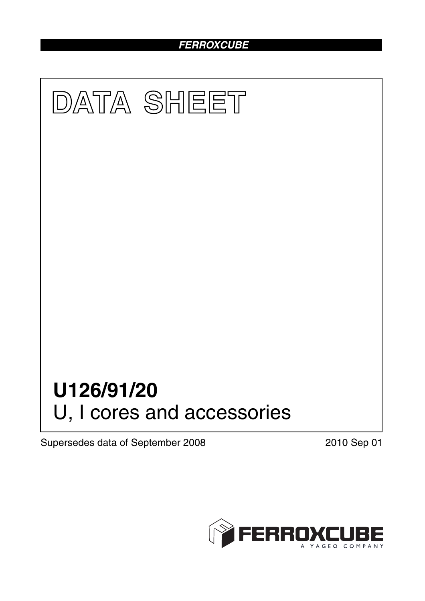## *FERROXCUBE*



Supersedes data of September 2008 2010 Sep 01

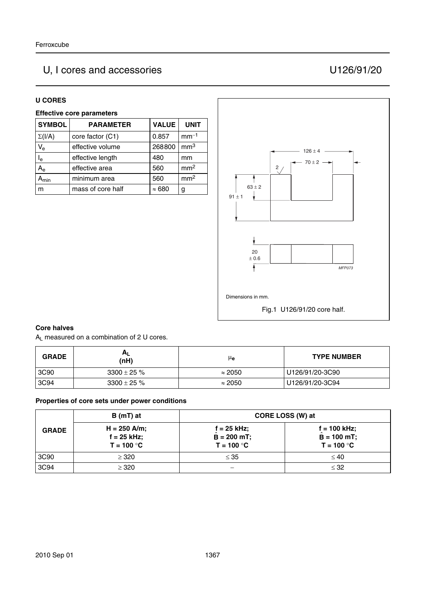# U, I cores and accessories U126/91/20

#### **U CORES**

### **Effective core parameters**

| <b>SYMBOL</b>           | <b>PARAMETER</b>  | <b>VALUE</b>  | <b>UNIT</b>     |
|-------------------------|-------------------|---------------|-----------------|
| $\Sigma(I/A)$           | core factor (C1)  | 0.857         | $mm-1$          |
| $V_{e}$                 | effective volume  | 268800        | mm <sup>3</sup> |
| $\mathsf{I}_\mathsf{e}$ | effective length  | 480           | mm              |
| $A_{\rm e}$             | effective area    | 560           | mm <sup>2</sup> |
| $A_{min}$               | minimum area      | 560           | mm <sup>2</sup> |
| m                       | mass of core half | $\approx 680$ | g               |



#### **Core halves**

AL measured on a combination of 2 U cores.

| <b>GRADE</b> | <b>AL</b><br>(nH) | μe             | <b>TYPE NUMBER</b> |
|--------------|-------------------|----------------|--------------------|
| 3C90         | $3300 \pm 25 \%$  | $\approx 2050$ | U126/91/20-3C90    |
| 3C94         | $3300 \pm 25 \%$  | $\approx 2050$ | U126/91/20-3C94    |

#### **Properties of core sets under power conditions**

|              | B (mT) at                                       |                                                | CORE LOSS (W) at                                |
|--------------|-------------------------------------------------|------------------------------------------------|-------------------------------------------------|
| <b>GRADE</b> | $H = 250$ A/m;<br>$f = 25$ kHz;<br>$T = 100 °C$ | $f = 25$ kHz;<br>$B = 200$ mT;<br>$T = 100 °C$ | $f = 100$ kHz;<br>$B = 100$ mT;<br>$T = 100 °C$ |
| 3C90         | $\geq$ 320                                      | $\leq 35$                                      | $\leq 40$                                       |
| 3C94         | $\geq 320$                                      | —                                              | $\leq$ 32                                       |